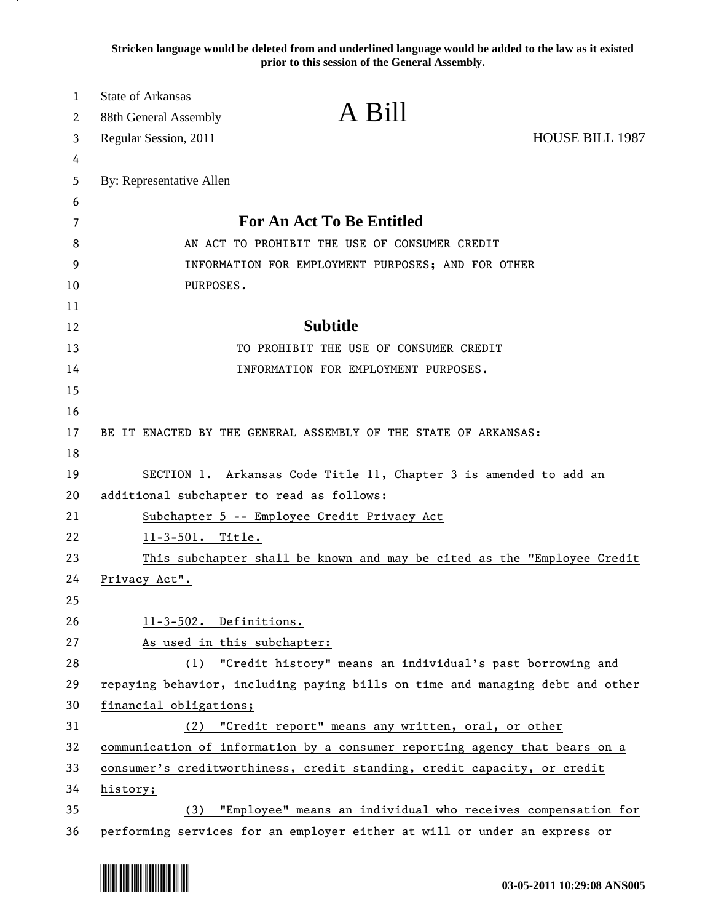**Stricken language would be deleted from and underlined language would be added to the law as it existed prior to this session of the General Assembly.**

| 1        | <b>State of Arkansas</b>                  | A Bill                                                                        |                        |
|----------|-------------------------------------------|-------------------------------------------------------------------------------|------------------------|
| 2        | 88th General Assembly                     |                                                                               |                        |
| 3        | Regular Session, 2011                     |                                                                               | <b>HOUSE BILL 1987</b> |
| 4        |                                           |                                                                               |                        |
| 5        | By: Representative Allen                  |                                                                               |                        |
| 6        |                                           |                                                                               |                        |
| 7        |                                           | <b>For An Act To Be Entitled</b>                                              |                        |
| 8        |                                           | AN ACT TO PROHIBIT THE USE OF CONSUMER CREDIT                                 |                        |
| 9        |                                           | INFORMATION FOR EMPLOYMENT PURPOSES; AND FOR OTHER                            |                        |
| 10       | PURPOSES.                                 |                                                                               |                        |
| 11<br>12 |                                           | <b>Subtitle</b>                                                               |                        |
| 13       |                                           | TO PROHIBIT THE USE OF CONSUMER CREDIT                                        |                        |
|          |                                           |                                                                               |                        |
| 14       |                                           | INFORMATION FOR EMPLOYMENT PURPOSES.                                          |                        |
| 15<br>16 |                                           |                                                                               |                        |
| 17       |                                           | BE IT ENACTED BY THE GENERAL ASSEMBLY OF THE STATE OF ARKANSAS:               |                        |
| 18       |                                           |                                                                               |                        |
| 19       |                                           | SECTION 1. Arkansas Code Title 11, Chapter 3 is amended to add an             |                        |
| 20       | additional subchapter to read as follows: |                                                                               |                        |
| 21       |                                           | Subchapter 5 -- Employee Credit Privacy Act                                   |                        |
| 22       | 11-3-501. Title.                          |                                                                               |                        |
| 23       |                                           | This subchapter shall be known and may be cited as the "Employee Credit       |                        |
| 24       | Privacy Act".                             |                                                                               |                        |
| 25       |                                           |                                                                               |                        |
| 26       | 11-3-502. Definitions.                    |                                                                               |                        |
| 27       | As used in this subchapter:               |                                                                               |                        |
| 28       |                                           | (1) "Credit history" means an individual's past borrowing and                 |                        |
| 29       |                                           | repaying behavior, including paying bills on time and managing debt and other |                        |
| 30       | financial obligations;                    |                                                                               |                        |
| 31       |                                           | (2) "Credit report" means any written, oral, or other                         |                        |
| 32       |                                           | communication of information by a consumer reporting agency that bears on a   |                        |
| 33       |                                           | consumer's creditworthiness, credit standing, credit capacity, or credit      |                        |
| 34       | history;                                  |                                                                               |                        |
| 35       | (3)                                       | "Employee" means an individual who receives compensation for                  |                        |
| 36       |                                           | performing services for an employer either at will or under an express or     |                        |

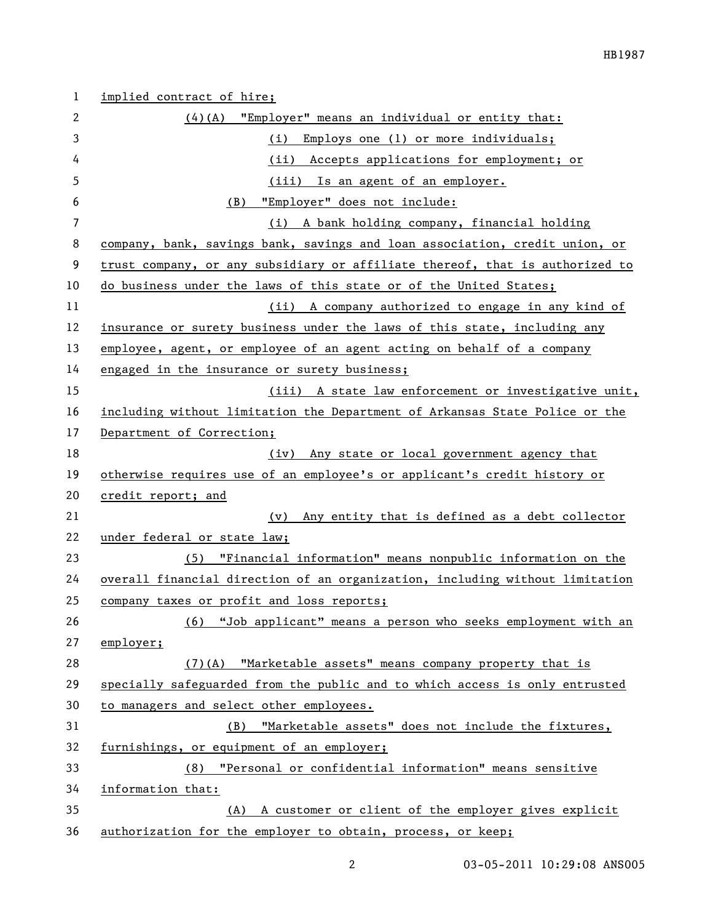| 1               | implied contract of hire;                                                    |  |  |
|-----------------|------------------------------------------------------------------------------|--|--|
| 2               | (4)(A) "Employer" means an individual or entity that:                        |  |  |
| 3               | (i) Employs one (1) or more individuals;                                     |  |  |
| 4               | (ii) Accepts applications for employment; or                                 |  |  |
| 5               | (iii) Is an agent of an employer.                                            |  |  |
| 6               | "Employer" does not include:<br>(B)                                          |  |  |
| $7\overline{ }$ | (i) A bank holding company, financial holding                                |  |  |
| 8               | company, bank, savings bank, savings and loan association, credit union, or  |  |  |
| 9               | trust company, or any subsidiary or affiliate thereof, that is authorized to |  |  |
| 10              | do business under the laws of this state or of the United States;            |  |  |
| 11              | (ii) A company authorized to engage in any kind of                           |  |  |
| 12              | insurance or surety business under the laws of this state, including any     |  |  |
| 13              | employee, agent, or employee of an agent acting on behalf of a company       |  |  |
| 14              | engaged in the insurance or surety business;                                 |  |  |
| 15              | (iii) A state law enforcement or investigative unit,                         |  |  |
| 16              | including without limitation the Department of Arkansas State Police or the  |  |  |
| 17              | Department of Correction;                                                    |  |  |
| 18              | (iv) Any state or local government agency that                               |  |  |
| 19              | otherwise requires use of an employee's or applicant's credit history or     |  |  |
| 20              | credit report; and                                                           |  |  |
| 21              | (v) Any entity that is defined as a debt collector                           |  |  |
| 22              | under federal or state law;                                                  |  |  |
| 23              | (5) "Financial information" means nonpublic information on the               |  |  |
| 24              | overall financial direction of an organization, including without limitation |  |  |
| 25              | company taxes or profit and loss reports;                                    |  |  |
| 26              | "Job applicant" means a person who seeks employment with an<br>(6)           |  |  |
| 27              | employer;                                                                    |  |  |
| 28              | (7)(A) "Marketable assets" means company property that is                    |  |  |
| 29              | specially safeguarded from the public and to which access is only entrusted  |  |  |
| 30              | to managers and select other employees.                                      |  |  |
| 31              | (B) "Marketable assets" does not include the fixtures,                       |  |  |
| 32              | furnishings, or equipment of an employer;                                    |  |  |
| 33              | "Personal or confidential information" means sensitive<br>(8)                |  |  |
| 34              | information that:                                                            |  |  |
| 35              | (A) A customer or client of the employer gives explicit                      |  |  |
| 36              | authorization for the employer to obtain, process, or keep;                  |  |  |

2 03-05-2011 10:29:08 ANS005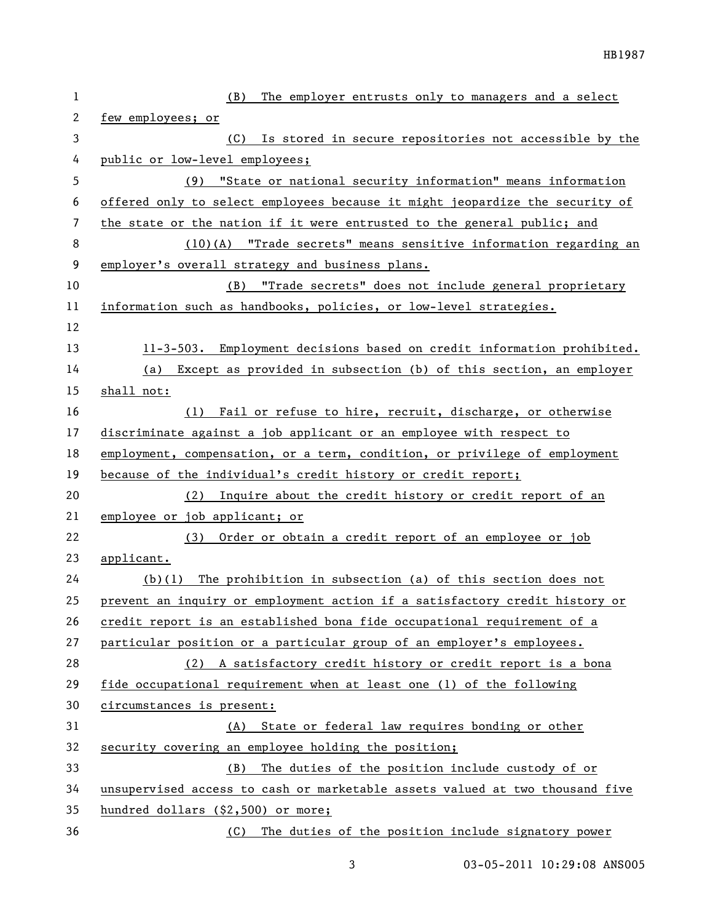| 1  | The employer entrusts only to managers and a select<br>(B)                   |  |  |
|----|------------------------------------------------------------------------------|--|--|
| 2  | few employees; or                                                            |  |  |
| 3  | Is stored in secure repositories not accessible by the<br>(C)                |  |  |
| 4  | public or low-level employees;                                               |  |  |
| 5  | "State or national security information" means information<br>(9)            |  |  |
| 6  | offered only to select employees because it might jeopardize the security of |  |  |
| 7  | the state or the nation if it were entrusted to the general public; and      |  |  |
| 8  | (10)(A) "Trade secrets" means sensitive information regarding an             |  |  |
| 9  | employer's overall strategy and business plans.                              |  |  |
| 10 | "Trade secrets" does not include general proprietary<br>(B)                  |  |  |
| 11 | information such as handbooks, policies, or low-level strategies.            |  |  |
| 12 |                                                                              |  |  |
| 13 | 11-3-503. Employment decisions based on credit information prohibited.       |  |  |
| 14 | (a) Except as provided in subsection (b) of this section, an employer        |  |  |
| 15 | shall not:                                                                   |  |  |
| 16 | Fail or refuse to hire, recruit, discharge, or otherwise<br>(1)              |  |  |
| 17 | discriminate against a job applicant or an employee with respect to          |  |  |
| 18 | employment, compensation, or a term, condition, or privilege of employment   |  |  |
| 19 | because of the individual's credit history or credit report;                 |  |  |
| 20 | (2) Inquire about the credit history or credit report of an                  |  |  |
| 21 | employee or job applicant; or                                                |  |  |
| 22 | Order or obtain a credit report of an employee or job<br>(3)                 |  |  |
| 23 | applicant.                                                                   |  |  |
| 24 | (b)(1) The prohibition in subsection (a) of this section does not            |  |  |
| 25 | prevent an inquiry or employment action if a satisfactory credit history or  |  |  |
| 26 | credit report is an established bona fide occupational requirement of a      |  |  |
| 27 | particular position or a particular group of an employer's employees.        |  |  |
| 28 | (2) A satisfactory credit history or credit report is a bona                 |  |  |
| 29 | fide occupational requirement when at least one (1) of the following         |  |  |
| 30 | circumstances is present:                                                    |  |  |
| 31 | State or federal law requires bonding or other<br>(A)                        |  |  |
| 32 | security covering an employee holding the position;                          |  |  |
| 33 | The duties of the position include custody of or<br>(B)                      |  |  |
| 34 | unsupervised access to cash or marketable assets valued at two thousand five |  |  |
| 35 | hundred dollars (\$2,500) or more;                                           |  |  |
| 36 | The duties of the position include signatory power<br>(C)                    |  |  |

03-05-2011 10:29:08 ANS005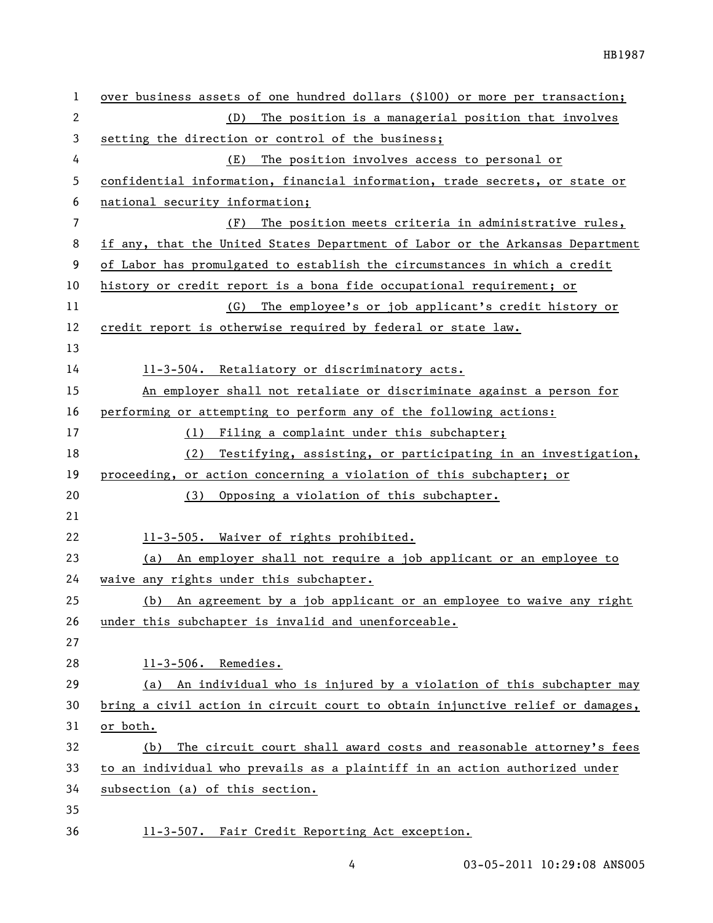| $\mathbf{1}$ | over business assets of one hundred dollars (\$100) or more per transaction;  |  |  |
|--------------|-------------------------------------------------------------------------------|--|--|
| $\mathbf{2}$ | The position is a managerial position that involves<br>(D)                    |  |  |
| 3            | setting the direction or control of the business;                             |  |  |
| 4            | (E)<br>The position involves access to personal or                            |  |  |
| 5            | confidential information, financial information, trade secrets, or state or   |  |  |
| 6            | national security information;                                                |  |  |
| 7            | (F) The position meets criteria in administrative rules,                      |  |  |
| 8            | if any, that the United States Department of Labor or the Arkansas Department |  |  |
| 9            | of Labor has promulgated to establish the circumstances in which a credit     |  |  |
| 10           | history or credit report is a bona fide occupational requirement; or          |  |  |
| 11           | (G) The employee's or job applicant's credit history or                       |  |  |
| 12           | credit report is otherwise required by federal or state law.                  |  |  |
| 13           |                                                                               |  |  |
| 14           | 11-3-504. Retaliatory or discriminatory acts.                                 |  |  |
| 15           | An employer shall not retaliate or discriminate against a person for          |  |  |
| 16           | performing or attempting to perform any of the following actions:             |  |  |
| 17           | (1) Filing a complaint under this subchapter;                                 |  |  |
| 18           | (2)<br>Testifying, assisting, or participating in an investigation,           |  |  |
| 19           | proceeding, or action concerning a violation of this subchapter; or           |  |  |
| 20           | Opposing a violation of this subchapter.<br>(3)                               |  |  |
| 21           |                                                                               |  |  |
| 22           | 11-3-505. Waiver of rights prohibited.                                        |  |  |
| 23           | (a) An employer shall not require a job applicant or an employee to           |  |  |
| 24           | waive any rights under this subchapter.                                       |  |  |
| 25           | (b) An agreement by a job applicant or an employee to waive any right         |  |  |
| 26           | under this subchapter is invalid and unenforceable.                           |  |  |
| 27           |                                                                               |  |  |
| 28           | $11-3-506$ . Remedies.                                                        |  |  |
| 29           | (a) An individual who is injured by a violation of this subchapter may        |  |  |
| 30           | bring a civil action in circuit court to obtain injunctive relief or damages, |  |  |
| 31           | or both.                                                                      |  |  |
| 32           | The circuit court shall award costs and reasonable attorney's fees<br>(b)     |  |  |
| 33           | to an individual who prevails as a plaintiff in an action authorized under    |  |  |
| 34           | subsection (a) of this section.                                               |  |  |
| 35           |                                                                               |  |  |
| 36           | 11-3-507. Fair Credit Reporting Act exception.                                |  |  |